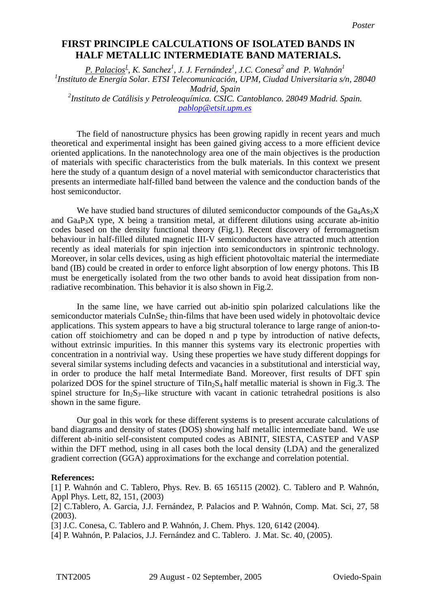## **First Principle Calculations of Isolated Bands in Half Metallic Intermediate Band Materials. HALF METALLIC INTERMEDIATE BAND MATERIALS.FIRST PRINCIPLE CALCULATIONS OF ISOLATED BANDS IN**

*P. Palacios*<sup>1</sup>, *K. Sanchez<sup>1</sup>*, *J. J. Fernández<sup>1</sup>*, *J.C. Conesa*<sup>2</sup> and *P. Wahnón<sup>1</sup> 1 Instituto de Energía Solar. ETSI Telecomunicación, UPM, Ciudad Universitaria s/n, 28040 Madrid, Spain*<br>2 *Instituto de Catálisis y Petroleoquímica. CSIC. Cantoblanco. 28049 Madrid. Spain pablop@etsit.upm.es*

 The field of nanostructure physics has been growing rapidly in recent years and much theoretical and experimental insight has been gained giving access to a more efficient device oriented applications. In the nanotechnology area one of the main objectives is the production of materials with specific characteristics from the bulk materials. In this context we present here the study of a quantum design of a novel material with semiconductor characteristics that presents an intermediate half-filled band between the valence and the conduction bands of the host semiconductor.

We have studied band structures of diluted semiconductor compounds of the  $Ga<sub>4</sub>As<sub>3</sub>X$ and  $Ga_4P_3X$  type, X being a transition metal, at different dilutions using accurate ab-initio codes based on the density functional theory (Fig.1). Recent discovery of ferromagnetism behaviour in half-filled diluted magnetic III-V semiconductors have attracted much attention recently as ideal materials for spin injection into semiconductors in spintronic technology. Moreover, in solar cells devices, using as high efficient photovoltaic material the intermediate band (IB) could be created in order to enforce light absorption of low energy photons. This IB must be energetically isolated from the two other bands to avoid heat dissipation from nonradiative recombination. This behavior it is also shown in Fig.2.

 In the same line, we have carried out ab-initio spin polarized calculations like the semiconductor materials  $CuInSe<sub>2</sub>$  thin-films that have been used widely in photovoltaic device applications. This system appears to have a big structural tolerance to large range of anion-tocation off stoichiometry and can be doped n and p type by introduction of native defects, without extrinsic impurities. In this manner this systems vary its electronic properties with concentration in a nontrivial way. Using these properties we have study different doppings for several similar systems including defects and vacancies in a substitutional and intersticial way, in order to produce the half metal Intermediate Band. Moreover, first results of DFT spin polarized DOS for the spinel structure of  $\text{TiIn}_2\text{S}_4$  half metallic material is shown in Fig.3. The spinel structure for  $In_2S_3$ -like structure with vacant in cationic tetrahedral positions is also shown in the same figure.

Our goal in this work for these different systems is to present accurate calculations of band diagrams and density of states (DOS) showing half metallic intermediate band. We use different ab-initio self-consistent computed codes as ABINIT, SIESTA, CASTEP and VASP within the DFT method, using in all cases both the local density (LDA) and the generalized gradient correction (GGA) approximations for the exchange and correlation potential.

## **References:**

[1] P. Wahnón and C. Tablero, Phys. Rev. B. 65 165115 (2002). C. Tablero and P. Wahnón, Appl Phys. Lett, 82, 151, (2003)

[2] C.Tablero, A. Garcia, J.J. Fernández, P. Palacios and P. Wahnón, Comp. Mat. Sci, 27, 58 (2003).

[3] J.C. Conesa, C. Tablero and P. Wahnón, J. Chem. Phys. 120, 6142 (2004).

[4] P. Wahnón, P. Palacios, J.J. Fernández and C. Tablero. J. Mat. Sc. 40, (2005).